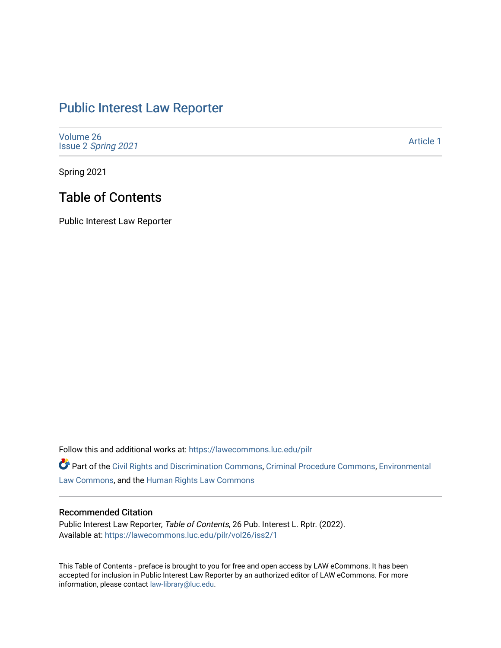## [Public Interest Law Reporter](https://lawecommons.luc.edu/pilr)

[Volume 26](https://lawecommons.luc.edu/pilr/vol26) Issue 2 [Spring 2021](https://lawecommons.luc.edu/pilr/vol26/iss2) 

[Article 1](https://lawecommons.luc.edu/pilr/vol26/iss2/1) 

Spring 2021

## Table of Contents

Public Interest Law Reporter

Follow this and additional works at: [https://lawecommons.luc.edu/pilr](https://lawecommons.luc.edu/pilr?utm_source=lawecommons.luc.edu%2Fpilr%2Fvol26%2Fiss2%2F1&utm_medium=PDF&utm_campaign=PDFCoverPages) 

Part of the [Civil Rights and Discrimination Commons,](http://network.bepress.com/hgg/discipline/585?utm_source=lawecommons.luc.edu%2Fpilr%2Fvol26%2Fiss2%2F1&utm_medium=PDF&utm_campaign=PDFCoverPages) [Criminal Procedure Commons,](http://network.bepress.com/hgg/discipline/1073?utm_source=lawecommons.luc.edu%2Fpilr%2Fvol26%2Fiss2%2F1&utm_medium=PDF&utm_campaign=PDFCoverPages) [Environmental](http://network.bepress.com/hgg/discipline/599?utm_source=lawecommons.luc.edu%2Fpilr%2Fvol26%2Fiss2%2F1&utm_medium=PDF&utm_campaign=PDFCoverPages)  [Law Commons,](http://network.bepress.com/hgg/discipline/599?utm_source=lawecommons.luc.edu%2Fpilr%2Fvol26%2Fiss2%2F1&utm_medium=PDF&utm_campaign=PDFCoverPages) and the [Human Rights Law Commons](http://network.bepress.com/hgg/discipline/847?utm_source=lawecommons.luc.edu%2Fpilr%2Fvol26%2Fiss2%2F1&utm_medium=PDF&utm_campaign=PDFCoverPages)

## Recommended Citation

Public Interest Law Reporter, Table of Contents, 26 Pub. Interest L. Rptr. (2022). Available at: [https://lawecommons.luc.edu/pilr/vol26/iss2/1](https://lawecommons.luc.edu/pilr/vol26/iss2/1?utm_source=lawecommons.luc.edu%2Fpilr%2Fvol26%2Fiss2%2F1&utm_medium=PDF&utm_campaign=PDFCoverPages)

This Table of Contents - preface is brought to you for free and open access by LAW eCommons. It has been accepted for inclusion in Public Interest Law Reporter by an authorized editor of LAW eCommons. For more information, please contact [law-library@luc.edu.](mailto:law-library@luc.edu)